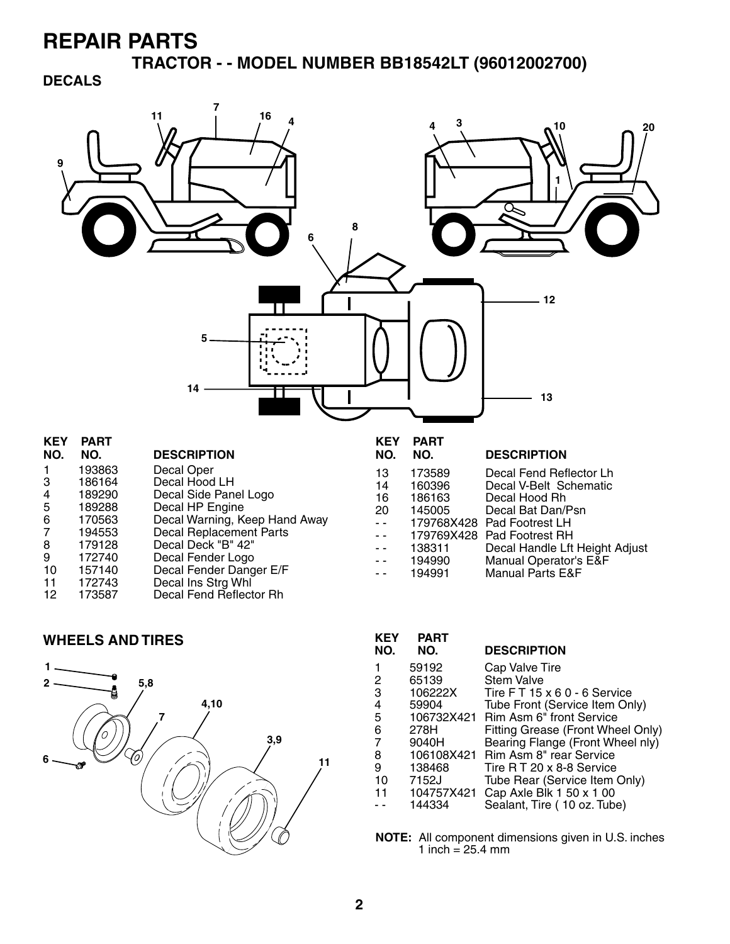**TRACTOR - - MODEL NUMBER BB18542LT (96012002700)** 

### **DECALS**



| 11 | 172743 | Decal Ins Strg Whl      |
|----|--------|-------------------------|
| 12 | 173587 | Decal Fend Reflector Rh |
|    |        |                         |

#### **WHEELS AND TIRES**



| KEY<br>NO. | PART<br>NO. | <b>DESCRIPTION</b>                |
|------------|-------------|-----------------------------------|
| 1          | 59192       | Cap Valve Tire                    |
| 2          | 65139       | <b>Stem Valve</b>                 |
| 3          | 106222X     | Tire FT 15 x 6 0 - 6 Service      |
| 4          | 59904       | Tube Front (Service Item Only)    |
| 5          | 106732X421  | Rim Asm 6" front Service          |
| 6          | 278H        | Fitting Grease (Front Wheel Only) |
| 7          | 9040H       | Bearing Flange (Front Wheel nly)  |
| 8          | 106108X421  | Rim Asm 8" rear Service           |
| 9          | 138468      | Tire R T 20 x 8-8 Service         |
| 10         | 7152J       | Tube Rear (Service Item Only)     |
| 11         | 104757X421  | Cap Axle Blk 1 50 x 1 00          |
|            | 144334      | Sealant, Tire (10 oz. Tube)       |

**NOTE:** All component dimensions given in U.S. inches 1 inch =  $25.4 \, \text{mm}$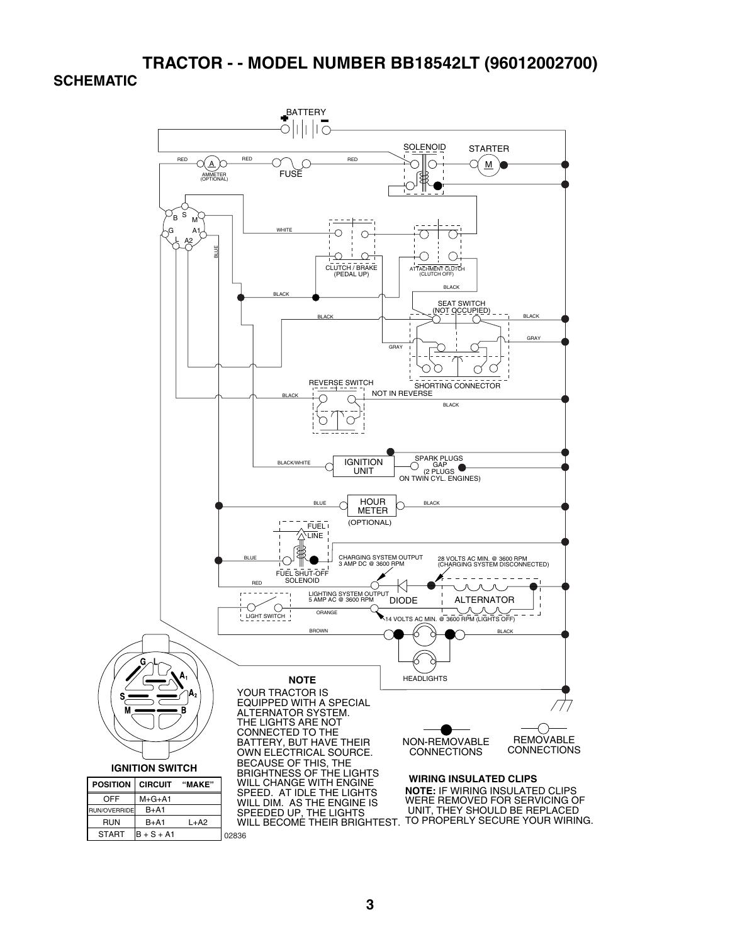### **TRACTOR - - MODEL NUMBER BB18542LT (96012002700) SCHEMATIC**

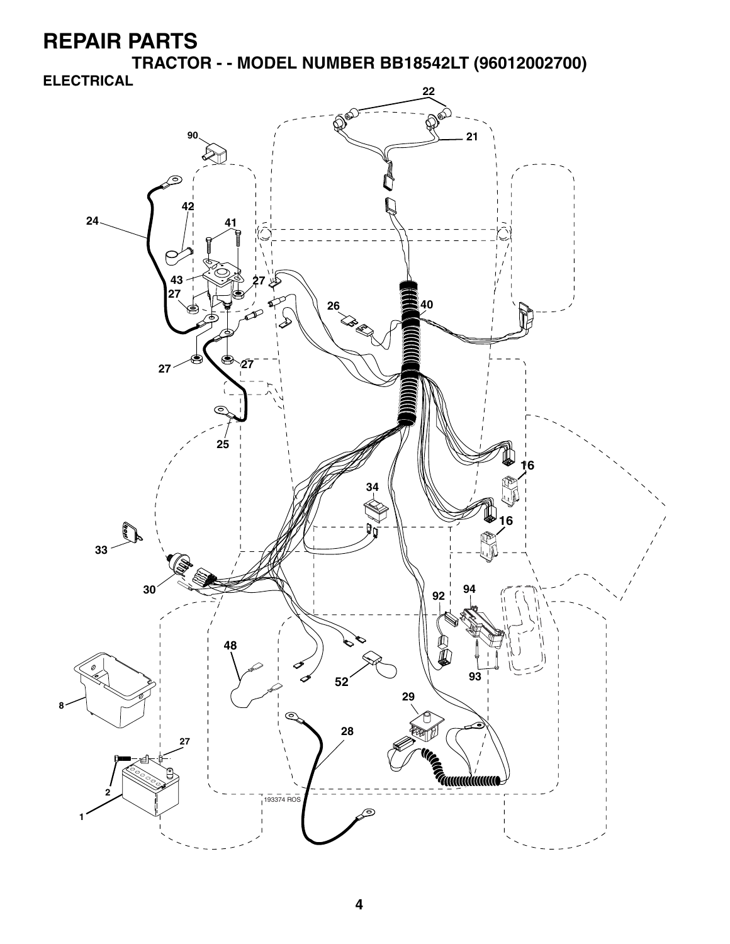**TRACTOR - - MODEL NUMBER BB18542LT (96012002700)** 



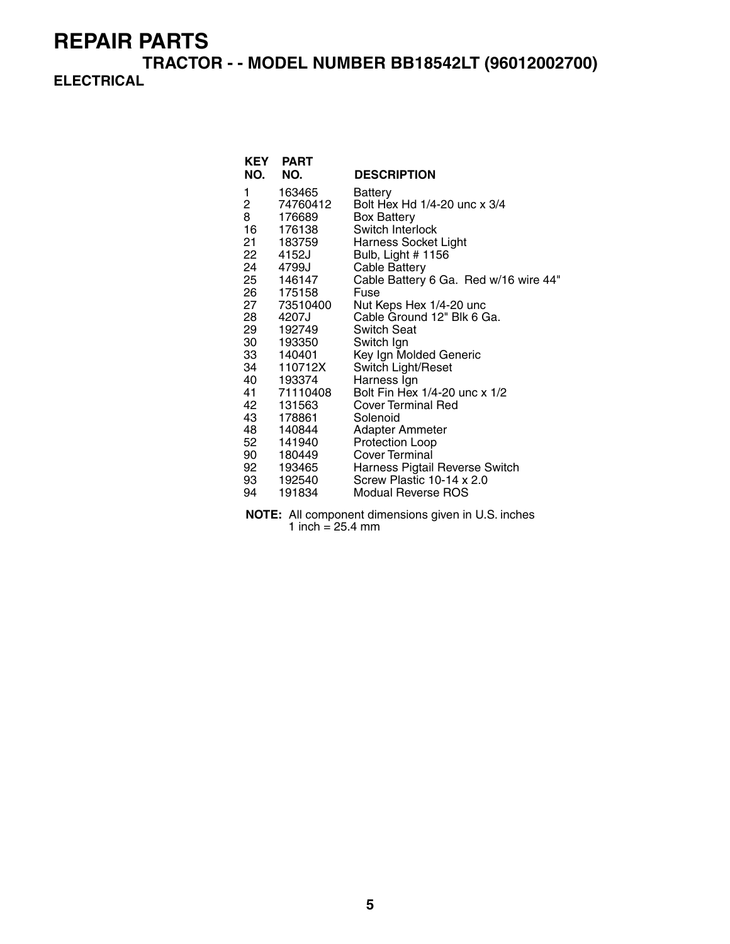**TRACTOR - - MODEL NUMBER BB18542LT (96012002700) ELECTRICAL**

|      | <b>KEY PART</b> |                                       |
|------|-----------------|---------------------------------------|
| NO.  | NO.             | <b>DESCRIPTION</b>                    |
| 1    | 163465          | Battery                               |
| 2    | 74760412        | Bolt Hex Hd 1/4-20 unc x 3/4          |
| 8    | 176689          | <b>Box Battery</b>                    |
| 16   | 176138          | Switch Interlock                      |
| 21 — | 183759          | Harness Socket Light                  |
| 22   | 4152J           | Bulb, Light # 1156                    |
| 24   | 4799J           | Cable Battery                         |
|      | 25 146147       | Cable Battery 6 Ga. Red w/16 wire 44" |
| 26   | 175158          | Fuse                                  |
| 27   | 73510400        | Nut Keps Hex 1/4-20 unc               |
| 28 — | 4207J           | Cable Ground 12" Blk 6 Ga.            |
| 29   | 192749          | <b>Switch Seat</b>                    |
| 30   | 193350          | Switch Ign                            |
|      | 33 140401       | Key Ign Molded Generic                |
| 34   | 110712X         | Switch Light/Reset                    |
| 40   | 193374          | Harness Ign                           |
|      | 41 71110408     | Bolt Fin Hex 1/4-20 unc x 1/2         |
| 42   | 131563          | <b>Cover Terminal Red</b>             |
| 43   | 178861          | Solenoid                              |
| 48   | 140844          | Adapter Ammeter                       |
| 52   | 141940          | Protection Loop                       |
| 90 — | 180449          | Cover Terminal                        |
| 92   | 193465          | Harness Pigtail Reverse Switch        |
| 93   | 192540          | Screw Plastic 10-14 x 2.0             |
| 94   | 191834          | Modual Reverse ROS                    |

**NOTE:** All component dimensions given in U.S. inches  $1$  inch = 25.4 mm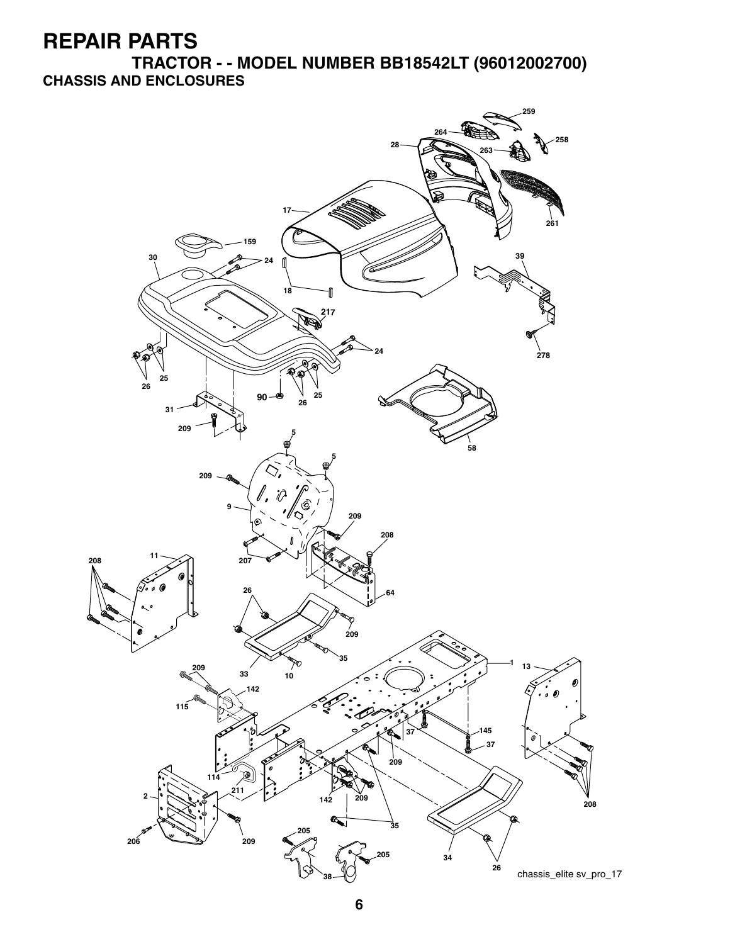**TRACTOR - - MODEL NUMBER BB18542LT (96012002700) CHASSIS AND ENCLOSURES**

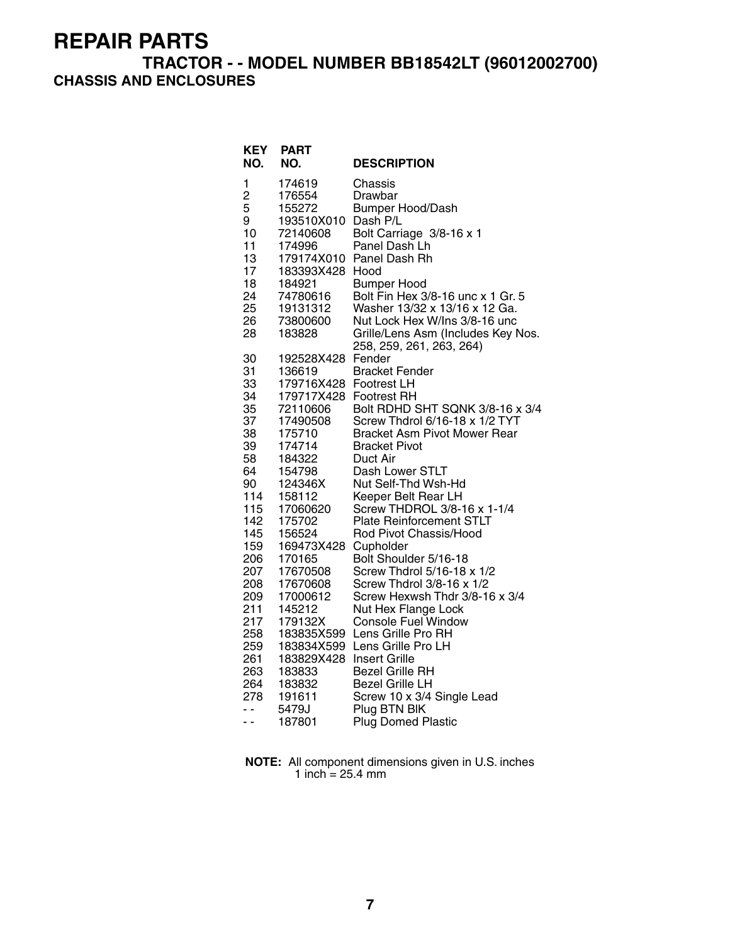### **TRACTOR - - MODEL NUMBER BB18542LT (96012002700) CHASSIS AND ENCLOSURES**

| <b>KEY</b><br>NO.                                                      | <b>PART</b><br>NO.                                                                                                                                          | <b>DESCRIPTION</b>                                                                                                                                                                                                                                                                     |
|------------------------------------------------------------------------|-------------------------------------------------------------------------------------------------------------------------------------------------------------|----------------------------------------------------------------------------------------------------------------------------------------------------------------------------------------------------------------------------------------------------------------------------------------|
| 1<br>2<br>5<br>9<br>10<br>11<br>13<br>17<br>18<br>24<br>25<br>26<br>28 | 174619<br>176554<br>155272<br>193510X010 Dash P/L<br>72140608<br>174996<br>179174X010<br>183393X428<br>184921<br>74780616<br>19131312<br>73800600<br>183828 | Chassis<br>Drawbar<br><b>Bumper Hood/Dash</b><br>Bolt Carriage 3/8-16 x 1<br>Panel Dash Lh<br>Panel Dash Rh<br>Hood<br><b>Bumper Hood</b><br>Bolt Fin Hex 3/8-16 unc x 1 Gr. 5<br>Washer 13/32 x 13/16 x 12 Ga.<br>Nut Lock Hex W/Ins 3/8-16 unc<br>Grille/Lens Asm (Includes Key Nos. |
| 30                                                                     | 192528X428                                                                                                                                                  | 258, 259, 261, 263, 264)                                                                                                                                                                                                                                                               |
| 31                                                                     | 136619                                                                                                                                                      | Fender                                                                                                                                                                                                                                                                                 |
| 33                                                                     | 179716X428                                                                                                                                                  | <b>Bracket Fender</b>                                                                                                                                                                                                                                                                  |
| 34                                                                     | 179717X428 Footrest RH                                                                                                                                      | <b>Footrest LH</b>                                                                                                                                                                                                                                                                     |
| 35                                                                     | 72110606                                                                                                                                                    | Bolt RDHD SHT SQNK 3/8-16 x 3/4                                                                                                                                                                                                                                                        |
| 37                                                                     | 17490508                                                                                                                                                    | Screw Thdrol 6/16-18 x 1/2 TYT                                                                                                                                                                                                                                                         |
| 38                                                                     | 175710                                                                                                                                                      | <b>Bracket Asm Pivot Mower Rear</b>                                                                                                                                                                                                                                                    |
| 39                                                                     | 174714                                                                                                                                                      | <b>Bracket Pivot</b>                                                                                                                                                                                                                                                                   |
| 58                                                                     | 184322                                                                                                                                                      | Duct Air                                                                                                                                                                                                                                                                               |
| 64                                                                     | 154798                                                                                                                                                      | Dash Lower STLT                                                                                                                                                                                                                                                                        |
| 90                                                                     | 124346X                                                                                                                                                     | Nut Self-Thd Wsh-Hd                                                                                                                                                                                                                                                                    |
| 114                                                                    | 158112                                                                                                                                                      | Keeper Belt Rear LH                                                                                                                                                                                                                                                                    |
| 115                                                                    | 17060620                                                                                                                                                    | Screw THDROL 3/8-16 x 1-1/4                                                                                                                                                                                                                                                            |
| 142                                                                    | 175702                                                                                                                                                      | <b>Plate Reinforcement STLT</b>                                                                                                                                                                                                                                                        |
| 145                                                                    | 156524                                                                                                                                                      | Rod Pivot Chassis/Hood                                                                                                                                                                                                                                                                 |
| 159                                                                    | 169473X428                                                                                                                                                  | Cupholder                                                                                                                                                                                                                                                                              |
| 206                                                                    | 170165                                                                                                                                                      | Bolt Shoulder 5/16-18                                                                                                                                                                                                                                                                  |
| 207                                                                    | 17670508                                                                                                                                                    | Screw Thdrol 5/16-18 x 1/2                                                                                                                                                                                                                                                             |
| 208                                                                    | 17670608                                                                                                                                                    | Screw Thdrol 3/8-16 x 1/2                                                                                                                                                                                                                                                              |
| 209                                                                    | 17000612                                                                                                                                                    | Screw Hexwsh Thdr 3/8-16 x 3/4                                                                                                                                                                                                                                                         |
| 211                                                                    | 145212                                                                                                                                                      | Nut Hex Flange Lock                                                                                                                                                                                                                                                                    |
| 217                                                                    | 179132X                                                                                                                                                     | <b>Console Fuel Window</b>                                                                                                                                                                                                                                                             |
| 258                                                                    | 183835X599                                                                                                                                                  | Lens Grille Pro RH                                                                                                                                                                                                                                                                     |
| 259                                                                    | 183834X599                                                                                                                                                  | Lens Grille Pro LH                                                                                                                                                                                                                                                                     |
| 261                                                                    | 183829X428                                                                                                                                                  | <b>Insert Grille</b>                                                                                                                                                                                                                                                                   |
| 263                                                                    | 183833                                                                                                                                                      | <b>Bezel Grille RH</b>                                                                                                                                                                                                                                                                 |
| 264                                                                    | 183832                                                                                                                                                      | <b>Bezel Grille LH</b>                                                                                                                                                                                                                                                                 |
| 278                                                                    | 191611                                                                                                                                                      | Screw 10 x 3/4 Single Lead                                                                                                                                                                                                                                                             |
| - -                                                                    | 5479J                                                                                                                                                       | Plug BTN BIK                                                                                                                                                                                                                                                                           |
| ۰.                                                                     | 187801                                                                                                                                                      | <b>Plug Domed Plastic</b>                                                                                                                                                                                                                                                              |

**NOTE:** All component dimensions given in U.S. inches 1 inch = 25.4 mm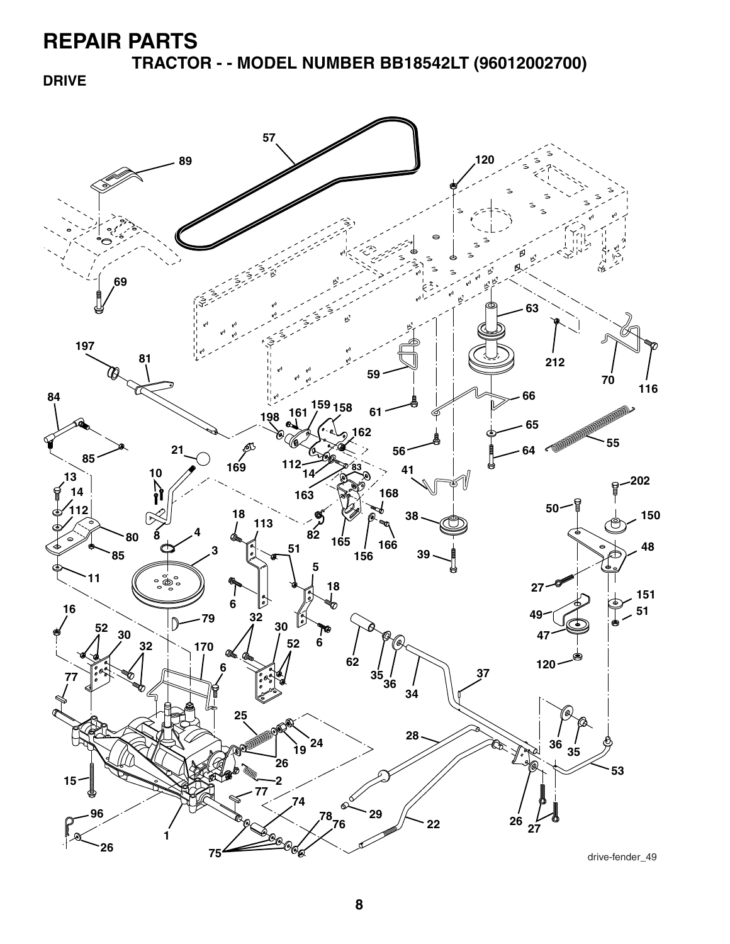**TRACTOR - - MODEL NUMBER BB18542LT (96012002700)** 

**DRIVE**



drive-fender\_49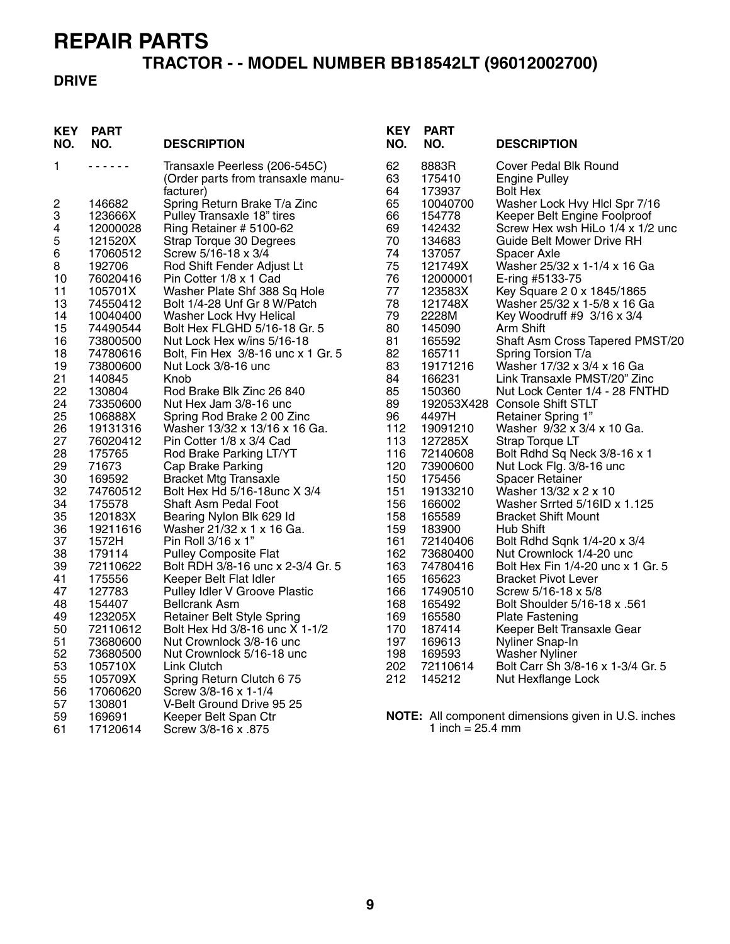# **TRACTOR - - MODEL NUMBER BB18542LT (96012002700)**

### **DRIVE**

| <b>KEY</b><br>NO. | <b>PART</b><br>NO.   | <b>DESCRIPTION</b>                                               | <b>KEY</b><br>NO. | <b>PART</b><br>NO.         | <b>DESCRIPTION</b>                                         |
|-------------------|----------------------|------------------------------------------------------------------|-------------------|----------------------------|------------------------------------------------------------|
| 1.                | <u>.</u>             | Transaxle Peerless (206-545C)                                    | 62                | 8883R                      | Cover Pedal Blk Round                                      |
|                   |                      | (Order parts from transaxle manu-                                | 63                | 175410                     | Engine Pulley                                              |
|                   |                      | facturer)                                                        | 64                | 173937                     | <b>Bolt Hex</b>                                            |
| 2                 | 146682               | Spring Return Brake T/a Zinc                                     | 65                | 10040700                   | Washer Lock Hvy Hlcl Spr 7/16                              |
| 3                 | 123666X              | Pulley Transaxle 18" tires                                       | 66                | 154778                     | Keeper Belt Engine Foolproof                               |
| 4                 | 12000028             | Ring Retainer # 5100-62                                          | 69                | 142432                     | Screw Hex wsh HiLo 1/4 x 1/2 unc                           |
| 5                 | 121520X              | Strap Torque 30 Degrees                                          | 70                | 134683                     | Guide Belt Mower Drive RH                                  |
| 6                 | 17060512             | Screw 5/16-18 x 3/4                                              | 74                | 137057                     | Spacer Axle                                                |
| $\bf 8$           | 192706               | Rod Shift Fender Adjust Lt                                       | 75                | 121749X                    | Washer 25/32 x 1-1/4 x 16 Ga                               |
| 10                | 76020416             | Pin Cotter 1/8 x 1 Cad                                           | 76                | 12000001                   | E-ring #5133-75                                            |
| 11                | 105701X              | Washer Plate Shf 388 Sq Hole                                     | 77                | 123583X                    | Key Square 2 0 x 1845/1865                                 |
| 13                | 74550412             | Bolt 1/4-28 Unf Gr 8 W/Patch                                     | 78                | 121748X                    | Washer 25/32 x 1-5/8 x 16 Ga                               |
| 14                | 10040400             | Washer Lock Hvy Helical                                          | 79<br>80          | 2228M                      | Key Woodruff #9 3/16 x 3/4<br>Arm Shift                    |
| 15<br>16          | 74490544<br>73800500 | Bolt Hex FLGHD 5/16-18 Gr. 5                                     | 81                | 145090                     |                                                            |
| 18                | 74780616             | Nut Lock Hex w/ins 5/16-18<br>Bolt, Fin Hex 3/8-16 unc x 1 Gr. 5 | 82                | 165592<br>165711           | Shaft Asm Cross Tapered PMST/20<br>Spring Torsion T/a      |
| 19                | 73800600             | Nut Lock 3/8-16 unc                                              | 83                | 19171216                   | Washer 17/32 x 3/4 x 16 Ga                                 |
| 21                | 140845               | Knob                                                             | 84                | 166231                     | Link Transaxle PMST/20" Zinc                               |
| 22                | 130804               | Rod Brake Blk Zinc 26 840                                        | 85                | 150360                     | Nut Lock Center 1/4 - 28 FNTHD                             |
| 24                | 73350600             | Nut Hex Jam 3/8-16 unc                                           | 89                |                            | 192053X428 Console Shift STLT                              |
| 25                | 106888X              | Spring Rod Brake 2 00 Zinc                                       | 96                | 4497H                      | Retainer Spring 1"                                         |
| 26                | 19131316             | Washer 13/32 x 13/16 x 16 Ga.                                    | 112               | 19091210                   | Washer 9/32 x 3/4 x 10 Ga.                                 |
| 27                | 76020412             | Pin Cotter 1/8 x 3/4 Cad                                         | 113               | 127285X                    | Strap Torque LT                                            |
| 28                | 175765               | Rod Brake Parking LT/YT                                          | 116               | 72140608                   | Bolt Rdhd Sq Neck 3/8-16 x 1                               |
| 29                | 71673                | Cap Brake Parking                                                | 120               | 73900600                   | Nut Lock Flg. 3/8-16 unc                                   |
| 30                | 169592               | <b>Bracket Mtg Transaxle</b>                                     | 150               | 175456                     | <b>Spacer Retainer</b>                                     |
| 32                | 74760512             | Bolt Hex Hd 5/16-18unc X 3/4                                     | 151               | 19133210                   | Washer 13/32 x 2 x 10                                      |
| 34                | 175578               | Shaft Asm Pedal Foot                                             | 156               | 166002                     | Washer Srrted 5/16ID x 1.125                               |
| 35                | 120183X              | Bearing Nylon Blk 629 Id                                         | 158               | 165589                     | <b>Bracket Shift Mount</b>                                 |
| 36                | 19211616             | Washer 21/32 x 1 x 16 Ga.                                        | 159               | 183900                     | Hub Shift                                                  |
| 37                | 1572H                | Pin Roll 3/16 x 1"                                               | 161               | 72140406                   | Bolt Rdhd Sqnk 1/4-20 x 3/4                                |
| 38                | 179114               | <b>Pulley Composite Flat</b>                                     | 162               | 73680400                   | Nut Crownlock 1/4-20 unc                                   |
| 39                | 72110622             | Bolt RDH 3/8-16 unc x 2-3/4 Gr. 5                                | 163               | 74780416                   | Bolt Hex Fin 1/4-20 unc x 1 Gr. 5                          |
| 41                | 175556               | Keeper Belt Flat Idler                                           | 165               | 165623                     | <b>Bracket Pivot Lever</b>                                 |
| 47                | 127783               | Pulley Idler V Groove Plastic                                    | 166               | 17490510                   | Screw 5/16-18 x 5/8                                        |
| 48                | 154407               | <b>Bellcrank Asm</b>                                             | 168               | 165492                     | Bolt Shoulder 5/16-18 x .561                               |
| 49<br>50          | 123205X<br>72110612  | Retainer Belt Style Spring<br>Bolt Hex Hd 3/8-16 unc X 1-1/2     | 169<br>170        | 165580<br>187414           | <b>Plate Fastening</b>                                     |
| 51                | 73680600             | Nut Crownlock 3/8-16 unc                                         | 197               | 169613                     | Keeper Belt Transaxle Gear<br>Nyliner Snap-In              |
| 52                | 73680500             | Nut Crownlock 5/16-18 unc                                        | 198               | 169593                     | <b>Washer Nyliner</b>                                      |
| 53                | 105710X              | Link Clutch                                                      | 202               | 72110614                   | Bolt Carr Sh 3/8-16 x 1-3/4 Gr. 5                          |
| 55                | 105709X              | Spring Return Clutch 6 75                                        | 212               | 145212                     | Nut Hexflange Lock                                         |
| 56                | 17060620             | Screw 3/8-16 x 1-1/4                                             |                   |                            |                                                            |
| 57                | 130801               | V-Belt Ground Drive 95 25                                        |                   |                            |                                                            |
| 59                | 169691               | Keeper Belt Span Ctr                                             |                   |                            | <b>NOTE:</b> All component dimensions given in U.S. inches |
| 61                | 17120614             | Screw 3/8-16 x .875                                              |                   | 1 inch = $25.4 \text{ mm}$ |                                                            |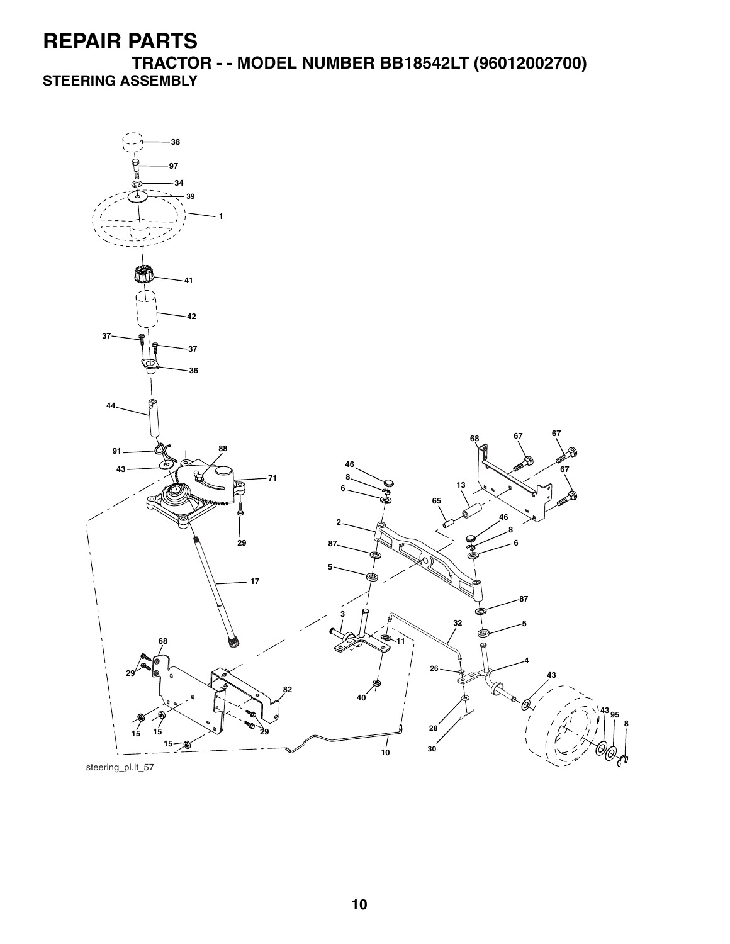**TRACTOR - - MODEL NUMBER BB18542LT (96012002700) STEERING ASSEMBLY**



steering\_pl.lt\_57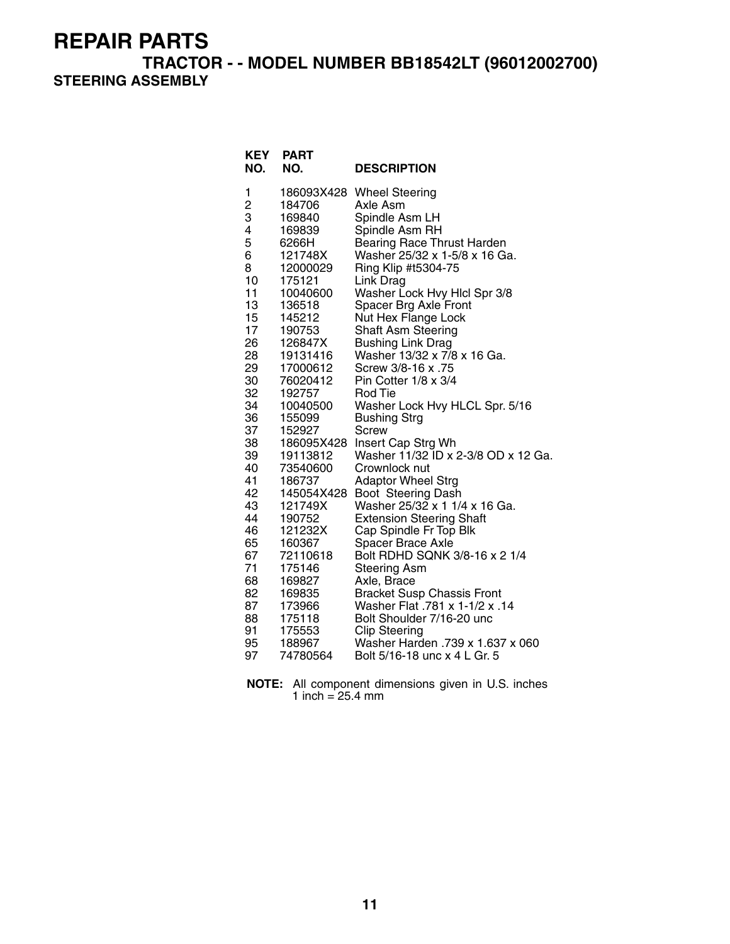**TRACTOR - - MODEL NUMBER BB18542LT (96012002700)** 

**STEERING ASSEMBLY**

| <b>KEY</b><br>NO. | <b>PART</b><br>NO.   | <b>DESCRIPTION</b>                                                  |
|-------------------|----------------------|---------------------------------------------------------------------|
| 1                 |                      | 186093X428 Wheel Steering                                           |
| $\frac{2}{3}$     | 184706               | Axle Asm                                                            |
|                   | 169840               | Spindle Asm LH                                                      |
| 4                 | 169839               | Spindle Asm RH                                                      |
| 5                 | 6266H                | Bearing Race Thrust Harden                                          |
| 6                 | 121748X              | Washer 25/32 x 1-5/8 x 16 Ga.                                       |
| 8                 | 12000029             | Ring Klip #t5304-75                                                 |
| 10                | 175121               | Link Drag                                                           |
| 11                | 10040600             | Washer Lock Hvy Hicl Spr 3/8                                        |
| 13                | 136518               | Spacer Brg Axle Front                                               |
| 15                | 145212               | Nut Hex Flange Lock                                                 |
| 17                | 190753               | Shaft Asm Steering                                                  |
| 26<br>28          | 126847X              | <b>Bushing Link Drag</b><br>Washer 13/32 x 7/8 x 16 Ga.             |
| 29                | 19131416<br>17000612 | Screw 3/8-16 x .75                                                  |
| 30                | 76020412             | Pin Cotter 1/8 x 3/4                                                |
| 32                | 192757               | <b>Rod Tie</b>                                                      |
| 34                | 10040500             | Washer Lock Hvy HLCL Spr. 5/16                                      |
| 36                | 155099               | <b>Bushing Strg</b>                                                 |
| 37                | 152927               | <b>Screw</b>                                                        |
| 38                | 186095X428           | Insert Cap Strg Wh                                                  |
| 39                | 19113812             | Washer 11/32 ID x 2-3/8 OD x 12 Ga.                                 |
| 40                | 73540600             | Crownlock nut                                                       |
| 41                | 186737               | <b>Adaptor Wheel Strg</b>                                           |
| 42                | 145054X428           | Boot Steering Dash                                                  |
| 43                | 121749X              | Washer 25/32 x 1 1/4 x 16 Ga.                                       |
| 44                | 190752               | <b>Extension Steering Shaft</b>                                     |
| 46                | 121232X              | Cap Spindle Fr Top Blk                                              |
| 65                | 160367               | Spacer Brace Axle                                                   |
| 67                | 72110618             | Bolt RDHD SQNK 3/8-16 x 2 1/4                                       |
| 71                | 175146               | <b>Steering Asm</b>                                                 |
| 68<br>82          | 169827               | Axle, Brace                                                         |
| 87                | 169835<br>173966     | <b>Bracket Susp Chassis Front</b><br>Washer Flat .781 x 1-1/2 x .14 |
| 88                | 175118               | Bolt Shoulder 7/16-20 unc                                           |
| 91                | 175553               | <b>Clip Steering</b>                                                |
| 95                | 188967               | Washer Harden .739 x 1.637 x 060                                    |
| 97                | 74780564             | Bolt 5/16-18 unc x 4 L Gr. 5                                        |

**NOTE:** All component dimensions given in U.S. inches 1 inch = 25.4 mm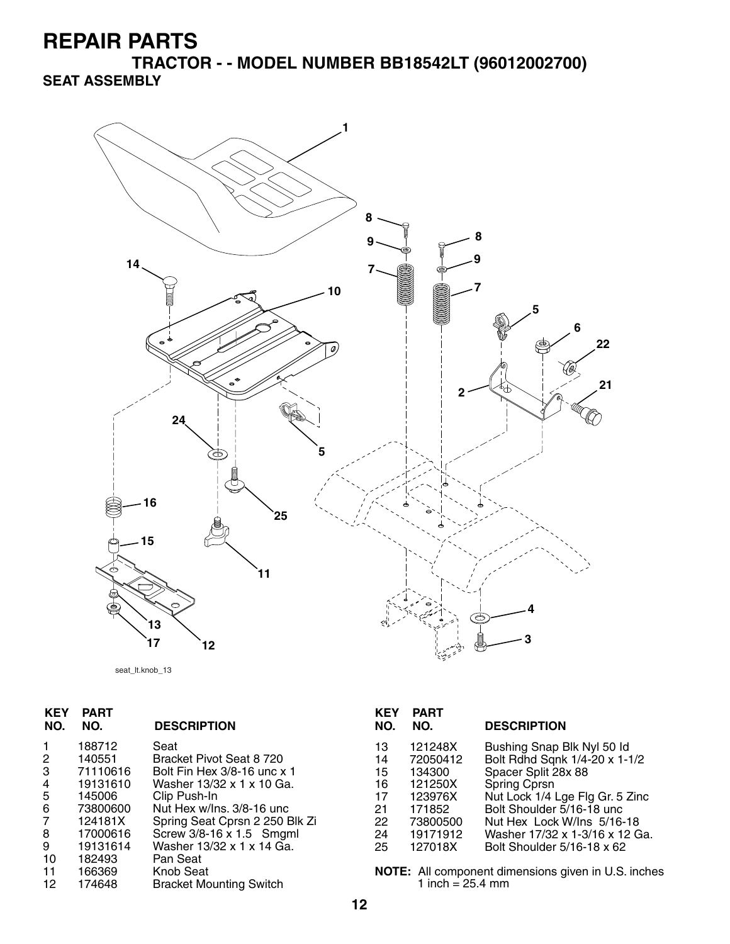**TRACTOR - - MODEL NUMBER BB18542LT (96012002700) SEAT ASSEMBLY**



seat\_lt.knob\_13

| <b>KEY</b><br>NO. | PART<br>NO. | <b>DESCRIPTION</b>             |
|-------------------|-------------|--------------------------------|
|                   | 188712      | Seat                           |
| 2                 | 140551      | Bracket Pivot Seat 8 720       |
| 3                 | 71110616    | Bolt Fin Hex 3/8-16 unc x 1    |
| 4                 | 19131610    | Washer 13/32 x 1 x 10 Ga.      |
| 5                 | 145006      | Clip Push-In                   |
| 6                 | 73800600    | Nut Hex w/Ins. 3/8-16 unc.     |
| 7                 | 124181X     | Spring Seat Cprsn 2 250 Blk Zi |
| 8                 | 17000616    | Screw 3/8-16 x 1.5 Smgml       |
| 9                 | 19131614    | Washer 13/32 x 1 x 14 Ga.      |
| 10                | 182493      | Pan Seat                       |
| 11                | 166369      | Knob Seat                      |
| 12                | 174648      | <b>Bracket Mounting Switch</b> |

| KEY<br>NO.                                         | PART<br>NO.                                                                                      | <b>DESCRIPTION</b>                                                                                                                                                                                                                                               |
|----------------------------------------------------|--------------------------------------------------------------------------------------------------|------------------------------------------------------------------------------------------------------------------------------------------------------------------------------------------------------------------------------------------------------------------|
| 13<br>14<br>15<br>16<br>17<br>21<br>22<br>24<br>25 | 121248X<br>72050412<br>134300<br>121250X<br>123976X<br>171852<br>73800500<br>19171912<br>127018X | Bushing Snap Blk Nyl 50 Id<br>Bolt Rdhd Sqnk 1/4-20 x 1-1/2<br>Spacer Split 28x 88<br>Spring Cprsn<br>Nut Lock 1/4 Lge Flg Gr. 5 Zinc<br>Bolt Shoulder 5/16-18 unc<br>Nut Hex Lock W/Ins 5/16-18<br>Washer 17/32 x 1-3/16 x 12 Ga.<br>Bolt Shoulder 5/16-18 x 62 |
|                                                    |                                                                                                  |                                                                                                                                                                                                                                                                  |

**NOTE:** All component dimensions given in U.S. inches 1 inch = 25.4 mm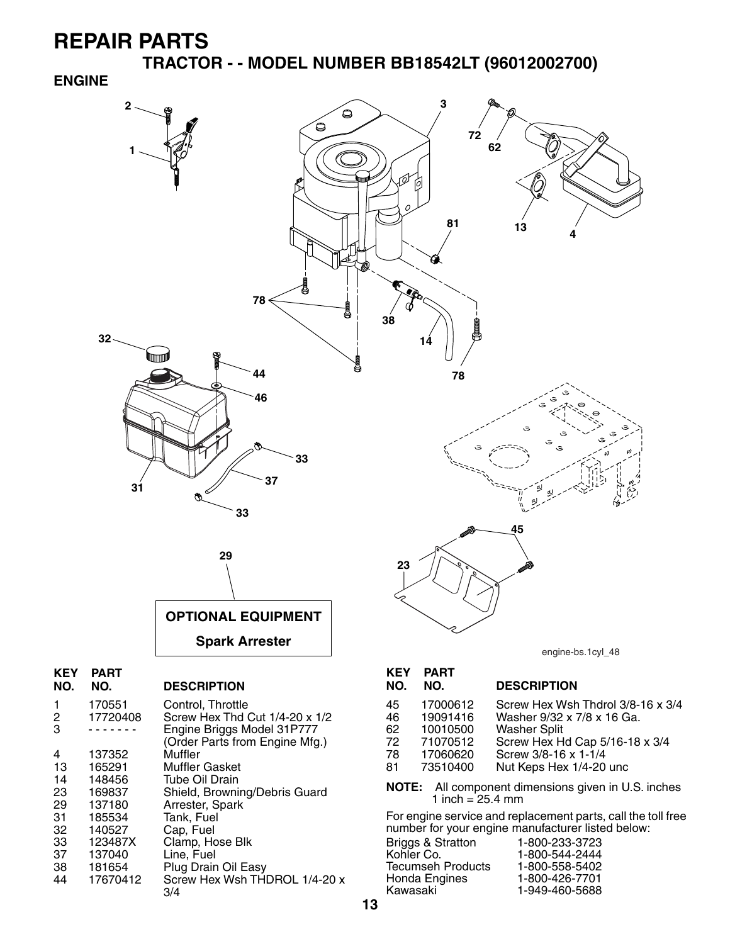**TRACTOR - - MODEL NUMBER BB18542LT (96012002700)** 

#### **ENGINE**



Tecumseh Products 1-800-558-5402

1-949-460-5688

**13**

181654 Plug Drain Oil Easy

3/4

44 17670412 Screw Hex Wsh THDROL 1/4-20 x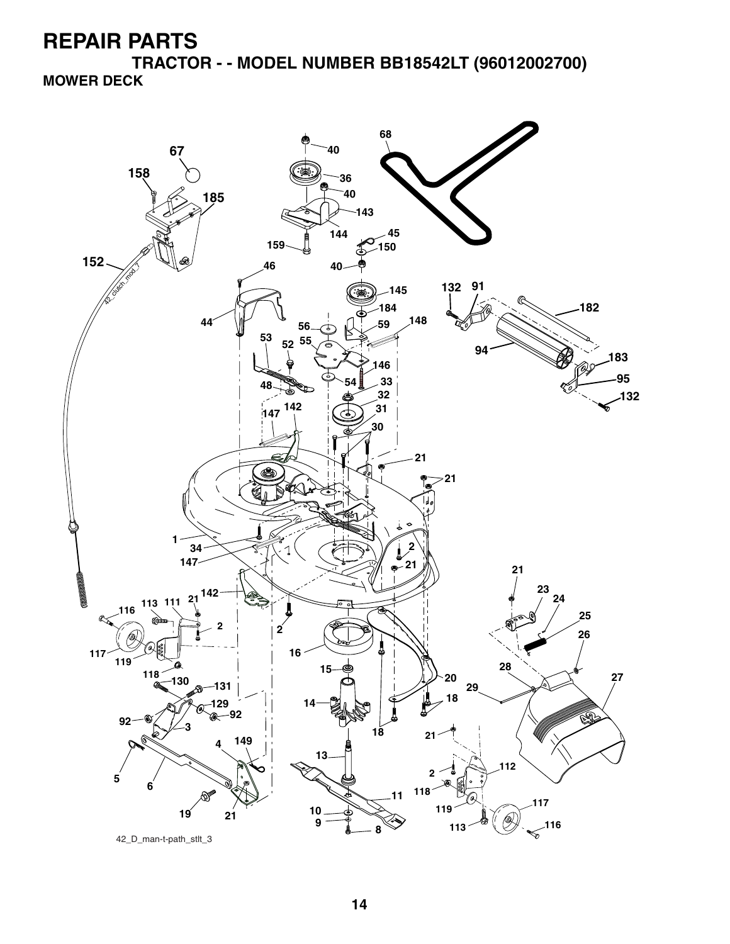**TRACTOR - - MODEL NUMBER BB18542LT (96012002700) MOWER DECK**

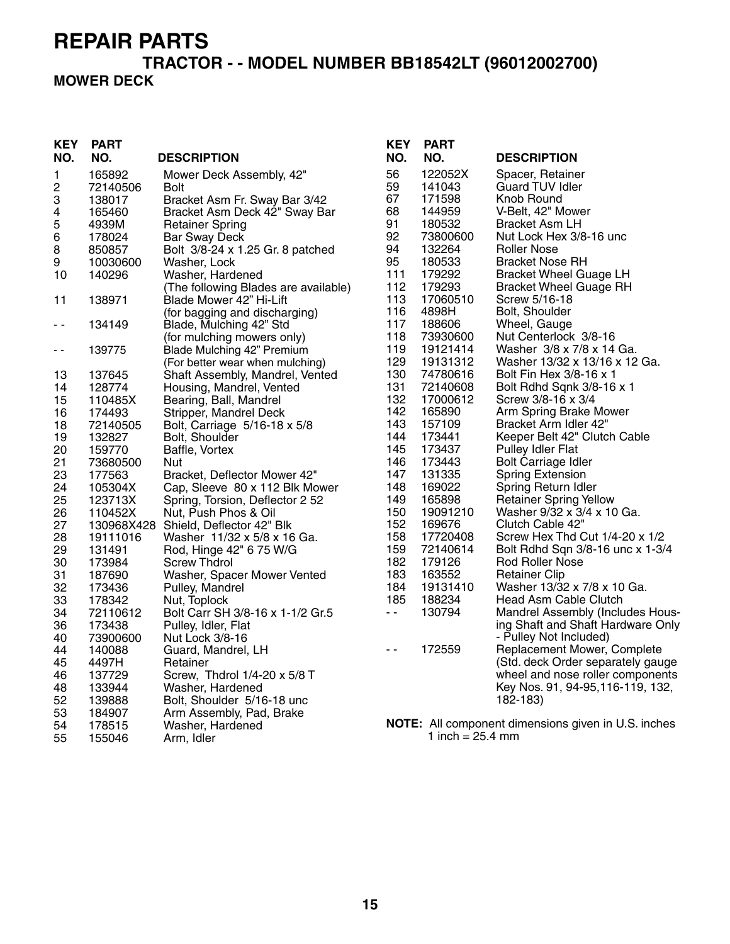### **TRACTOR - - MODEL NUMBER BB18542LT (96012002700) MOWER DECK**

| <b>KEY</b><br>NO. | <b>PART</b><br>NO. | <b>DESCRIPTION</b>                               | <b>KEY</b><br>NO. | <b>PART</b><br>NO.   | <b>DESCRIPTION</b>                                  |
|-------------------|--------------------|--------------------------------------------------|-------------------|----------------------|-----------------------------------------------------|
| 1                 | 165892             | Mower Deck Assembly, 42"                         | 56                | 122052X              | Spacer, Retainer                                    |
| 2                 | 72140506           | <b>Bolt</b>                                      | 59                | 141043               | <b>Guard TUV Idler</b>                              |
| 3                 | 138017             | Bracket Asm Fr. Sway Bar 3/42                    | 67                | 171598               | Knob Round                                          |
| 4                 | 165460             | Bracket Asm Deck 42" Sway Bar                    | 68                | 144959               | V-Belt, 42" Mower                                   |
| 5                 | 4939M              | <b>Retainer Spring</b>                           | 91                | 180532               | <b>Bracket Asm LH</b>                               |
| 6                 | 178024             | <b>Bar Sway Deck</b>                             | 92                | 73800600             | Nut Lock Hex 3/8-16 unc                             |
| 8                 | 850857             | Bolt 3/8-24 x 1.25 Gr. 8 patched                 | 94                | 132264               | <b>Roller Nose</b>                                  |
| 9                 | 10030600           | Washer, Lock                                     | 95                | 180533               | <b>Bracket Nose RH</b>                              |
| 10                | 140296             | Washer, Hardened                                 | 111               | 179292               | <b>Bracket Wheel Guage LH</b>                       |
|                   |                    | (The following Blades are available)             | 112               | 179293               | <b>Bracket Wheel Guage RH</b>                       |
| 11                | 138971             | Blade Mower 42" Hi-Lift                          | 113               | 17060510             | Screw 5/16-18                                       |
|                   |                    | (for bagging and discharging)                    | 116               | 4898H                | Bolt, Shoulder                                      |
| $\sim$ $-$        | 134149             | Blade, Mulching 42" Std                          | 117               | 188606               | Wheel, Gauge                                        |
|                   |                    | (for mulching mowers only)                       | 118               | 73930600             | Nut Centerlock 3/8-16                               |
| $ -$              | 139775             | Blade Mulching 42" Premium                       | 119               | 19121414             | Washer 3/8 x 7/8 x 14 Ga.                           |
|                   |                    | (For better wear when mulching)                  | 129               | 19131312             | Washer 13/32 x 13/16 x 12 Ga.                       |
| 13                | 137645             | Shaft Assembly, Mandrel, Vented                  | 130<br>131        | 74780616<br>72140608 | Bolt Fin Hex 3/8-16 x 1                             |
| 14                | 128774             | Housing, Mandrel, Vented                         | 132               | 17000612             | Bolt Rdhd Sqnk 3/8-16 x 1<br>Screw 3/8-16 x 3/4     |
| 15                | 110485X            | Bearing, Ball, Mandrel<br>Stripper, Mandrel Deck | 142               | 165890               | Arm Spring Brake Mower                              |
| 16<br>18          | 174493<br>72140505 | Bolt, Carriage 5/16-18 x 5/8                     | 143               | 157109               | Bracket Arm Idler 42"                               |
| 19                | 132827             | Bolt, Shoulder                                   | 144               | 173441               | Keeper Belt 42" Clutch Cable                        |
| 20                | 159770             | Baffle, Vortex                                   | 145               | 173437               | Pulley Idler Flat                                   |
| 21                | 73680500           | Nut                                              | 146               | 173443               | Bolt Carriage Idler                                 |
| 23                | 177563             | Bracket, Deflector Mower 42"                     | 147               | 131335               | <b>Spring Extension</b>                             |
| 24                | 105304X            | Cap, Sleeve 80 x 112 Blk Mower                   | 148               | 169022               | Spring Return Idler                                 |
| 25                | 123713X            | Spring, Torsion, Deflector 2 52                  | 149               | 165898               | Retainer Spring Yellow                              |
| 26                | 110452X            | Nut, Push Phos & Oil                             | 150               | 19091210             | Washer 9/32 x 3/4 x 10 Ga.                          |
| 27                |                    | 130968X428 Shield, Deflector 42" Blk             | 152               | 169676               | Clutch Cable 42"                                    |
| 28                | 19111016           | Washer 11/32 x 5/8 x 16 Ga.                      | 158               | 17720408             | Screw Hex Thd Cut $1/4-20 \times 1/2$               |
| 29                | 131491             | Rod, Hinge 42" 6 75 W/G                          | 159               | 72140614             | Bolt Rdhd Sqn 3/8-16 unc x 1-3/4                    |
| 30                | 173984             | <b>Screw Thdrol</b>                              | 182               | 179126               | Rod Roller Nose                                     |
| 31                | 187690             | Washer, Spacer Mower Vented                      | 183               | 163552               | Retainer Clip                                       |
| 32                | 173436             | Pulley, Mandrel                                  | 184               | 19131410             | Washer 13/32 x 7/8 x 10 Ga.                         |
| 33                | 178342             | Nut, Toplock                                     | 185               | 188234               | Head Asm Cable Clutch                               |
| 34                | 72110612           | Bolt Carr SH 3/8-16 x 1-1/2 Gr.5                 | $\sim$ $-$        | 130794               | Mandrel Assembly (Includes Hous-                    |
| 36                | 173438             | Pulley, Idler, Flat                              |                   |                      | ing Shaft and Shaft Hardware Only                   |
| 40                | 73900600           | Nut Lock 3/8-16                                  |                   |                      | - Pulley Not Included)                              |
| 44                | 140088             | Guard, Mandrel, LH                               | $\sim$ $\sim$     | 172559               | Replacement Mower, Complete                         |
| 45                | 4497H              | Retainer                                         |                   |                      | (Std. deck Order separately gauge                   |
| 46                | 137729             | Screw, Thdrol 1/4-20 x 5/8 T                     |                   |                      | wheel and nose roller components                    |
| 48                | 133944             | Washer, Hardened                                 |                   |                      | Key Nos. 91, 94-95, 116-119, 132,                   |
| 52                | 139888             | Bolt, Shoulder 5/16-18 unc                       |                   |                      | 182-183)                                            |
| 53                | 184907             | Arm Assembly, Pad, Brake                         |                   |                      |                                                     |
| 54                | 178515             | Washer, Hardened                                 |                   |                      | NOTE: All component dimensions given in U.S. inches |
| 55                | 155046             | Arm, Idler                                       |                   | 1 inch = $25.4$ mm   |                                                     |